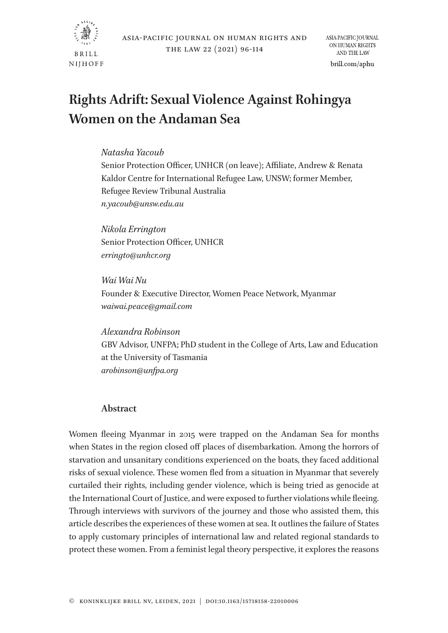

# **Rights Adrift: Sexual Violence Against Rohingya Women on the Andaman Sea**

#### *Natasha Yacoub*

Senior Protection Officer, UNHCR (on leave); Affiliate, Andrew & Renata Kaldor Centre for International Refugee Law, UNSW; former Member, Refugee Review Tribunal Australia *n.yacoub@unsw.edu.au*

*Nikola Errington*  Senior Protection Officer, UNHCR *erringto@unhcr.org*

*Wai Wai Nu*  Founder & Executive Director, Women Peace Network, Myanmar *waiwai.peace@gmail.com*

*Alexandra Robinson*  GBV Advisor, UNFPA; PhD student in the College of Arts, Law and Education at the University of Tasmania *arobinson@unfpa.org*

#### **Abstract**

Women fleeing Myanmar in 2015 were trapped on the Andaman Sea for months when States in the region closed off places of disembarkation. Among the horrors of starvation and unsanitary conditions experienced on the boats, they faced additional risks of sexual violence. These women fled from a situation in Myanmar that severely curtailed their rights, including gender violence, which is being tried as genocide at the International Court of Justice, and were exposed to further violations while fleeing. Through interviews with survivors of the journey and those who assisted them, this article describes the experiences of these women at sea. It outlines the failure of States to apply customary principles of international law and related regional standards to protect these women. From a feminist legal theory perspective, it explores the reasons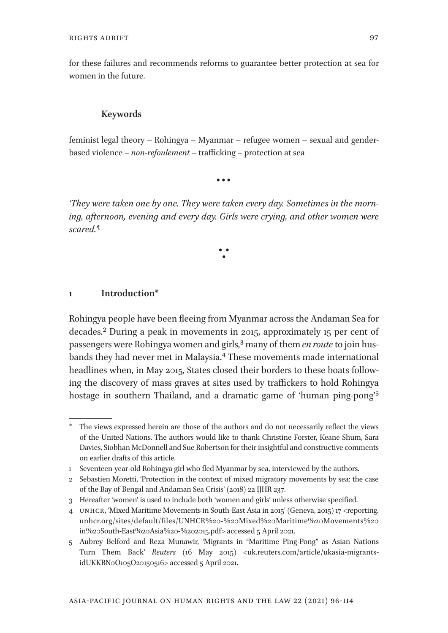for these failures and recommends reforms to guarantee better protection at sea for women in the future.

#### **Keywords**

feminist legal theory – Rohingya – Myanmar – refugee women – sexual and genderbased violence – *non-refoulement* – trafficking – protection at sea

…

*'They were taken one by one. They were taken every day. Sometimes in the morning, afternoon, evening and every day. Girls were crying, and other women were scared.'*1

∵

#### **1 Introduction\***

Rohingya people have been fleeing from Myanmar across the Andaman Sea for decades.2 During a peak in movements in 2015, approximately 15 per cent of passengers were Rohingya women and girls,3 many of them *en route* to join husbands they had never met in Malaysia.4 These movements made international headlines when, in May 2015, States closed their borders to these boats following the discovery of mass graves at sites used by traffickers to hold Rohingya hostage in southern Thailand, and a dramatic game of 'human ping-pong'5

The views expressed herein are those of the authors and do not necessarily reflect the views of the United Nations. The authors would like to thank Christine Forster, Keane Shum, Sara Davies, Siobhan McDonnell and Sue Robertson for their insightful and constructive comments on earlier drafts of this article.

<sup>1</sup> Seventeen-year-old Rohingya girl who fled Myanmar by sea, interviewed by the authors.

<sup>2</sup> Sebastien Moretti, 'Protection in the context of mixed migratory movements by sea: the case of the Bay of Bengal and Andaman Sea Crisis' (2018) 22 IJHR 237.

<sup>3</sup> Hereafter 'women' is used to include both 'women and girls' unless otherwise specified.

<sup>4</sup> unhcr, 'Mixed Maritime Movements in South-East Asia in 2015' (Geneva, 2015) 17 <reporting. unhcr.org/sites/default/files/UNHCR%20-%20Mixed%20Maritime%20Movements%20 in%20South-East%20Asia%20-%202015.pdf> accessed 5 April 2021.

<sup>5</sup> Aubrey Belford and Reza Munawir, 'Migrants in "Maritime Ping-Pong" as Asian Nations Turn Them Back' *Reuters* (16 May 2015) <uk.reuters.com/article/ukasia-migrantsidUKKBN0O105O20150516> accessed 5 April 2021.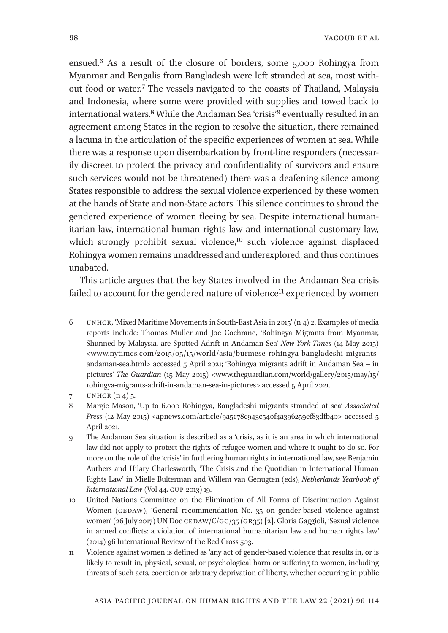ensued.6 As a result of the closure of borders, some 5,000 Rohingya from Myanmar and Bengalis from Bangladesh were left stranded at sea, most without food or water.7 The vessels navigated to the coasts of Thailand, Malaysia and Indonesia, where some were provided with supplies and towed back to international waters.8 While the Andaman Sea 'crisis'9 eventually resulted in an agreement among States in the region to resolve the situation, there remained a lacuna in the articulation of the specific experiences of women at sea. While there was a response upon disembarkation by front-line responders (necessarily discreet to protect the privacy and confidentiality of survivors and ensure such services would not be threatened) there was a deafening silence among States responsible to address the sexual violence experienced by these women at the hands of State and non-State actors. This silence continues to shroud the gendered experience of women fleeing by sea. Despite international humanitarian law, international human rights law and international customary law, which strongly prohibit sexual violence,<sup>10</sup> such violence against displaced Rohingya women remains unaddressed and underexplored, and thus continues unabated.

This article argues that the key States involved in the Andaman Sea crisis failed to account for the gendered nature of violence<sup>11</sup> experienced by women

<sup>6</sup> UNHCR, 'Mixed Maritime Movements in South-East Asia in 2015' (n 4) 2. Examples of media reports include: Thomas Muller and Joe Cochrane, 'Rohingya Migrants from Myanmar, Shunned by Malaysia, are Spotted Adrift in Andaman Sea' *New York Times* (14 May 2015) <www.nytimes.com/2015/05/15/world/asia/burmese-rohingya-bangladeshi-migrantsandaman-sea.html> accessed 5 April 2021; 'Rohingya migrants adrift in Andaman Sea – in pictures' *The Guardian* (15 May 2015) <www.theguardian.com/world/gallery/2015/may/15/ rohingya-migrants-adrift-in-andaman-sea-in-pictures> accessed 5 April 2021.

<sup>7</sup> UNHCR  $(n_4)$  5.

<sup>8</sup> Margie Mason, 'Up to 6,000 Rohingya, Bangladeshi migrants stranded at sea' *Associated Press* (12 May 2015) <apnews.com/article/9a5c78c943c540f4a396259ef83dfb40> accessed 5 April 2021.

<sup>9</sup> The Andaman Sea situation is described as a 'crisis', as it is an area in which international law did not apply to protect the rights of refugee women and where it ought to do so. For more on the role of the 'crisis' in furthering human rights in international law, see Benjamin Authers and Hilary Charlesworth, 'The Crisis and the Quotidian in International Human Rights Law' in Mielle Bulterman and Willem van Genugten (eds), *Netherlands Yearbook of International Law* (Vol 44, CUP 2013) 19.

<sup>10</sup> United Nations Committee on the Elimination of All Forms of Discrimination Against Women (CEDAW), 'General recommendation No. 35 on gender-based violence against women' (26 July 2017) UN Doc  $CEDAW/C/GC/35$  (GR35) [2]. Gloria Gaggioli, 'Sexual violence in armed conflicts: a violation of international humanitarian law and human rights law' (2014) 96 International Review of the Red Cross 503.

<sup>11</sup> Violence against women is defined as 'any act of gender-based violence that results in, or is likely to result in, physical, sexual, or psychological harm or suffering to women, including threats of such acts, coercion or arbitrary deprivation of liberty, whether occurring in public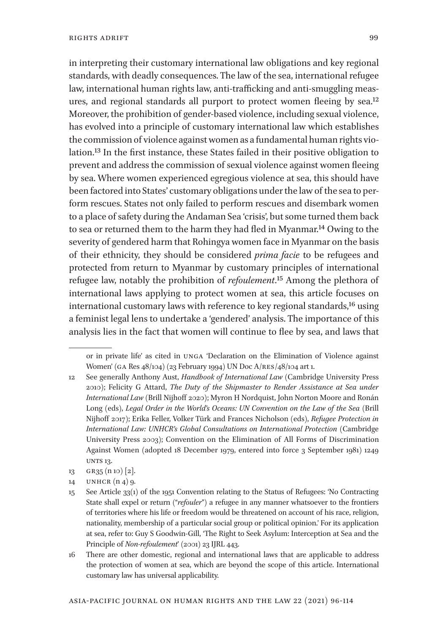in interpreting their customary international law obligations and key regional standards, with deadly consequences. The law of the sea, international refugee law, international human rights law, anti-trafficking and anti-smuggling measures, and regional standards all purport to protect women fleeing by sea.<sup>12</sup> Moreover, the prohibition of gender-based violence, including sexual violence, has evolved into a principle of customary international law which establishes the commission of violence against women as a fundamental human rights violation.13 In the first instance, these States failed in their positive obligation to prevent and address the commission of sexual violence against women fleeing by sea. Where women experienced egregious violence at sea, this should have been factored into States' customary obligations under the law of the sea to perform rescues. States not only failed to perform rescues and disembark women to a place of safety during the Andaman Sea 'crisis', but some turned them back to sea or returned them to the harm they had fled in Myanmar.14 Owing to the severity of gendered harm that Rohingya women face in Myanmar on the basis of their ethnicity, they should be considered *prima facie* to be refugees and protected from return to Myanmar by customary principles of international refugee law, notably the prohibition of *refoulement*.15 Among the plethora of international laws applying to protect women at sea, this article focuses on international customary laws with reference to key regional standards,<sup>16</sup> using a feminist legal lens to undertake a 'gendered' analysis. The importance of this analysis lies in the fact that women will continue to flee by sea, and laws that

- 13 GR35  $(n 10)$  [2].
- 14 UNHCR  $(n_4)$  9.

16 There are other domestic, regional and international laws that are applicable to address the protection of women at sea, which are beyond the scope of this article. International customary law has universal applicability.

or in private life' as cited in unga 'Declaration on the Elimination of Violence against Women' (ga Res 48/104) (23 February 1994) UN Doc A/res/48/104 art 1.

<sup>12</sup> See generally Anthony Aust, *Handbook of International Law* (Cambridge University Press 2010); Felicity G Attard, *The Duty of the Shipmaster to Render Assistance at Sea under International Law* (Brill Nijhoff 2020); Myron H Nordquist, John Norton Moore and Ronán Long (eds), *Legal Order in the World's Oceans: UN Convention on the Law of the Sea* (Brill Nijhoff 2017); Erika Feller, Volker Türk and Frances Nicholson (eds), *Refugee Protection in International Law: UNHCR's Global Consultations on International Protection* (Cambridge University Press 2003); Convention on the Elimination of All Forms of Discrimination Against Women (adopted 18 December 1979, entered into force 3 September 1981) 1249 UNTS 13.

<sup>15</sup> See Article 33(1) of the 1951 Convention relating to the Status of Refugees: 'No Contracting State shall expel or return ("*refouler*") a refugee in any manner whatsoever to the frontiers of territories where his life or freedom would be threatened on account of his race, religion, nationality, membership of a particular social group or political opinion.' For its application at sea, refer to: Guy S Goodwin-Gill, 'The Right to Seek Asylum: Interception at Sea and the Principle of *Non-refoulement*' (2001) 23 IJRL 443.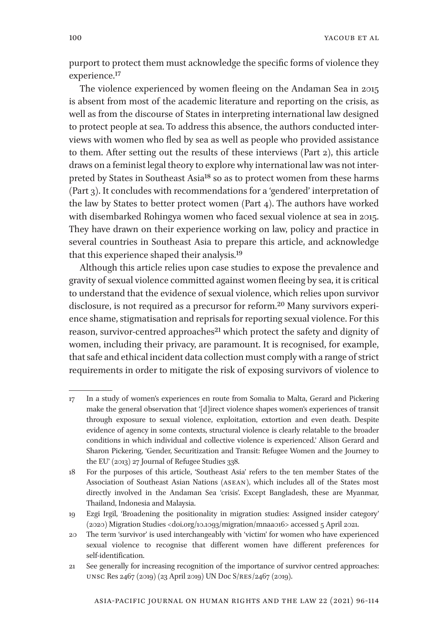purport to protect them must acknowledge the specific forms of violence they experience.17

The violence experienced by women fleeing on the Andaman Sea in 2015 is absent from most of the academic literature and reporting on the crisis, as well as from the discourse of States in interpreting international law designed to protect people at sea. To address this absence, the authors conducted interviews with women who fled by sea as well as people who provided assistance to them. After setting out the results of these interviews (Part 2), this article draws on a feminist legal theory to explore why international law was not interpreted by States in Southeast Asia18 so as to protect women from these harms (Part 3). It concludes with recommendations for a 'gendered' interpretation of the law by States to better protect women (Part 4). The authors have worked with disembarked Rohingya women who faced sexual violence at sea in 2015. They have drawn on their experience working on law, policy and practice in several countries in Southeast Asia to prepare this article, and acknowledge that this experience shaped their analysis.19

Although this article relies upon case studies to expose the prevalence and gravity of sexual violence committed against women fleeing by sea, it is critical to understand that the evidence of sexual violence, which relies upon survivor disclosure, is not required as a precursor for reform.20 Many survivors experience shame, stigmatisation and reprisals for reporting sexual violence. For this reason, survivor-centred approaches<sup>21</sup> which protect the safety and dignity of women, including their privacy, are paramount. It is recognised, for example, that safe and ethical incident data collection must comply with a range of strict requirements in order to mitigate the risk of exposing survivors of violence to

<sup>17</sup> In a study of women's experiences en route from Somalia to Malta, Gerard and Pickering make the general observation that '[d]irect violence shapes women's experiences of transit through exposure to sexual violence, exploitation, extortion and even death. Despite evidence of agency in some contexts, structural violence is clearly relatable to the broader conditions in which individual and collective violence is experienced.' Alison Gerard and Sharon Pickering, 'Gender, Securitization and Transit: Refugee Women and the Journey to the EU' (2013) 27 Journal of Refugee Studies 338.

<sup>18</sup> For the purposes of this article, 'Southeast Asia' refers to the ten member States of the Association of Southeast Asian Nations (asean), which includes all of the States most directly involved in the Andaman Sea 'crisis'. Except Bangladesh, these are Myanmar, Thailand, Indonesia and Malaysia.

<sup>19</sup> Ezgi Irgil, 'Broadening the positionality in migration studies: Assigned insider category' (2020) Migration Studies <doi.org/10.1093/migration/mnaa016> accessed 5 April 2021.

<sup>20</sup> The term 'survivor' is used interchangeably with 'victim' for women who have experienced sexual violence to recognise that different women have different preferences for self-identification.

<sup>21</sup> See generally for increasing recognition of the importance of survivor centred approaches: unsc Res 2467 (2019) (23 April 2019) UN Doc S/res/2467 (2019).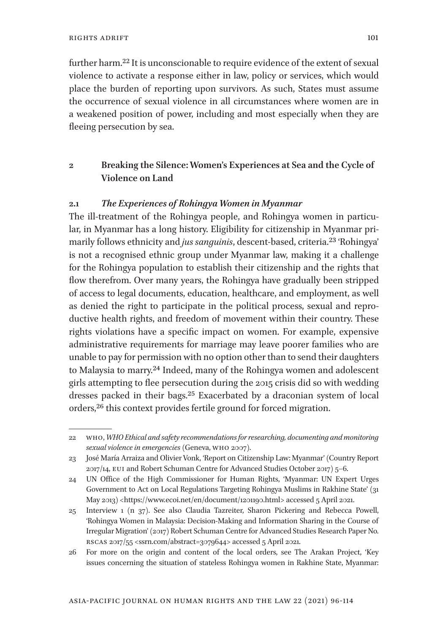further harm.<sup>22</sup> It is unconscionable to require evidence of the extent of sexual violence to activate a response either in law, policy or services, which would place the burden of reporting upon survivors. As such, States must assume the occurrence of sexual violence in all circumstances where women are in a weakened position of power, including and most especially when they are fleeing persecution by sea.

#### **2 Breaking the Silence: Women's Experiences at Sea and the Cycle of Violence on Land**

#### **2.1** *The Experiences of Rohingya Women in Myanmar*

The ill-treatment of the Rohingya people, and Rohingya women in particular, in Myanmar has a long history. Eligibility for citizenship in Myanmar primarily follows ethnicity and *jus sanguinis*, descent-based, criteria.23 'Rohingya' is not a recognised ethnic group under Myanmar law, making it a challenge for the Rohingya population to establish their citizenship and the rights that flow therefrom. Over many years, the Rohingya have gradually been stripped of access to legal documents, education, healthcare, and employment, as well as denied the right to participate in the political process, sexual and reproductive health rights, and freedom of movement within their country. These rights violations have a specific impact on women. For example, expensive administrative requirements for marriage may leave poorer families who are unable to pay for permission with no option other than to send their daughters to Malaysia to marry.24 Indeed, many of the Rohingya women and adolescent girls attempting to flee persecution during the 2015 crisis did so with wedding dresses packed in their bags.25 Exacerbated by a draconian system of local orders,26 this context provides fertile ground for forced migration.

- 25 Interview 1 (n 37). See also Claudia Tazreiter, Sharon Pickering and Rebecca Powell, 'Rohingya Women in Malaysia: Decision-Making and Information Sharing in the Course of Irregular Migration' (2017) Robert Schuman Centre for Advanced Studies Research Paper No. rscas 2017/55 <ssrn.com/abstract=3079644> accessed 5 April 2021.
- 26 For more on the origin and content of the local orders, see The Arakan Project, 'Key issues concerning the situation of stateless Rohingya women in Rakhine State, Myanmar:

<sup>22</sup> who, *WHO Ethical and safety recommendations for researching, documenting and monitoring sexual violence in emergencies* (Geneva, who 2007).

<sup>23</sup> José María Arraiza and Olivier Vonk, 'Report on Citizenship Law: Myanmar' (Country Report 2017/14, eui and Robert Schuman Centre for Advanced Studies October 2017) 5–6.

<sup>24</sup> UN Office of the High Commissioner for Human Rights, 'Myanmar: UN Expert Urges Government to Act on Local Regulations Targeting Rohingya Muslims in Rakhine State' (31 May 2013) <https://www.ecoi.net/en/document/1201190.html> accessed 5 April 2021.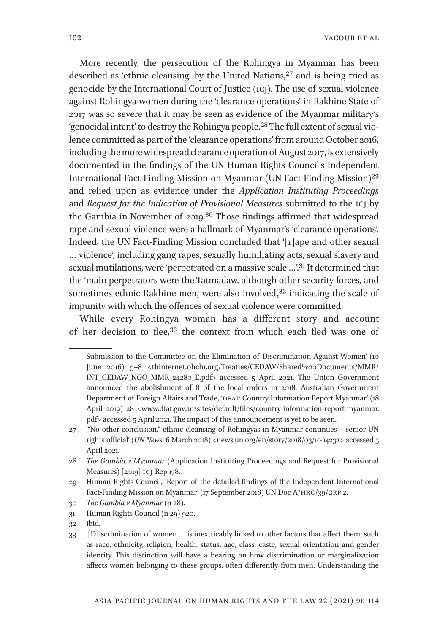More recently, the persecution of the Rohingya in Myanmar has been described as 'ethnic cleansing' by the United Nations,<sup>27</sup> and is being tried as genocide by the International Court of Justice (icj). The use of sexual violence against Rohingya women during the 'clearance operations' in Rakhine State of 2017 was so severe that it may be seen as evidence of the Myanmar military's 'genocidal intent' to destroy the Rohingya people.28 The full extent of sexual violence committed as part of the 'clearance operations' from around October 2016, including the more widespread clearance operation of August 2017, is extensively documented in the findings of the UN Human Rights Council's Independent International Fact-Finding Mission on Myanmar (UN Fact-Finding Mission)29 and relied upon as evidence under the *Application Instituting Proceedings* and *Request for the Indication of Provisional Measures* submitted to the icj by the Gambia in November of 2019.<sup>30</sup> Those findings affirmed that widespread rape and sexual violence were a hallmark of Myanmar's 'clearance operations'. Indeed, the UN Fact-Finding Mission concluded that '[r]ape and other sexual … violence', including gang rapes, sexually humiliating acts, sexual slavery and sexual mutilations, were 'perpetrated on a massive scale ...'.<sup>31</sup> It determined that the 'main perpetrators were the Tatmadaw, although other security forces, and sometimes ethnic Rakhine men, were also involved',<sup>32</sup> indicating the scale of impunity with which the offences of sexual violence were committed.

While every Rohingya woman has a different story and account of her decision to flee,<sup>33</sup> the context from which each fled was one of

Submission to the Committee on the Elimination of Discrimination Against Women' (10 June 2016) 5–8 <tbinternet.ohchr.org/Treaties/CEDAW/Shared%20Documents/MMR/ INT\_CEDAW\_NGO\_MMR\_24280\_E.pdf> accessed 5 April 2021. The Union Government announced the abolishment of 8 of the local orders in 2018. Australian Government Department of Foreign Affairs and Trade, 'DFAT Country Information Report Myanmar' (18 April 2019) 28 <www.dfat.gov.au/sites/default/files/country-information-report-myanmar. pdf> accessed 5 April 2021. The impact of this announcement is yet to be seen.

<sup>27</sup> '"No other conclusion," ethnic cleansing of Rohingyas in Myanmar continues – senior UN rights official' (*UN News*, 6 March 2018) <news.un.org/en/story/2018/03/1004232> accessed 5 April 2021.

<sup>28</sup> *The Gambia v Myanmar* (Application Instituting Proceedings and Request for Provisional Measures) [2019] icj Rep 178.

<sup>29</sup> Human Rights Council, 'Report of the detailed findings of the Independent International Fact-Finding Mission on Myanmar' (17 September 2018) UN Doc A/HRC/39/CRP.2.

<sup>30</sup> *The Gambia v Myanmar* (n 28).

<sup>31</sup> Human Rights Council (n 29) 920.

<sup>32</sup> ibid.

<sup>33</sup> '[D]iscrimination of women … is inextricably linked to other factors that affect them, such as race, ethnicity, religion, health, status, age, class, caste, sexual orientation and gender identity. This distinction will have a bearing on how discrimination or marginalization affects women belonging to these groups, often differently from men. Understanding the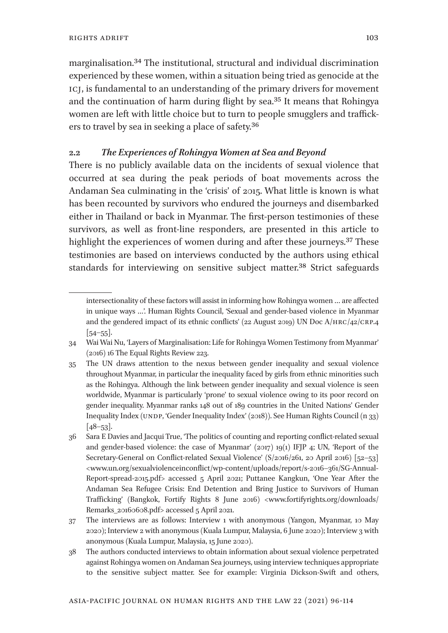marginalisation.34 The institutional, structural and individual discrimination experienced by these women, within a situation being tried as genocide at the icj, is fundamental to an understanding of the primary drivers for movement and the continuation of harm during flight by sea.35 It means that Rohingya women are left with little choice but to turn to people smugglers and traffickers to travel by sea in seeking a place of safety.36

#### **2.2** *The Experiences of Rohingya Women at Sea and Beyond*

There is no publicly available data on the incidents of sexual violence that occurred at sea during the peak periods of boat movements across the Andaman Sea culminating in the 'crisis' of 2015. What little is known is what has been recounted by survivors who endured the journeys and disembarked either in Thailand or back in Myanmar. The first-person testimonies of these survivors, as well as front-line responders, are presented in this article to highlight the experiences of women during and after these journeys.<sup>37</sup> These testimonies are based on interviews conducted by the authors using ethical standards for interviewing on sensitive subject matter.<sup>38</sup> Strict safeguards

- 35 The UN draws attention to the nexus between gender inequality and sexual violence throughout Myanmar, in particular the inequality faced by girls from ethnic minorities such as the Rohingya. Although the link between gender inequality and sexual violence is seen worldwide, Myanmar is particularly 'prone' to sexual violence owing to its poor record on gender inequality. Myanmar ranks 148 out of 189 countries in the United Nations' Gender Inequality Index (UNDP, 'Gender Inequality Index' (2018)). See Human Rights Council (n 33)  $[48-53]$ .
- 36 Sara E Davies and Jacqui True, 'The politics of counting and reporting conflict-related sexual and gender-based violence: the case of Myanmar' (2017) 19(1) IFJP 4; UN, 'Report of the Secretary-General on Conflict-related Sexual Violence' (S/2016/261, 20 April 2016) [52–53] <www.un.org/sexualviolenceinconflict/wp-content/uploads/report/s-2016–361/SG-Annual-Report-spread-2015.pdf> accessed 5 April 2021; Puttanee Kangkun, 'One Year After the Andaman Sea Refugee Crisis: End Detention and Bring Justice to Survivors of Human Trafficking' (Bangkok, Fortify Rights 8 June 2016) <www.fortifyrights.org/downloads/ Remarks\_20160608.pdf> accessed 5 April 2021.
- 37 The interviews are as follows: Interview 1 with anonymous (Yangon, Myanmar, 10 May 2020); Interview 2 with anonymous (Kuala Lumpur, Malaysia, 6 June 2020); Interview 3 with anonymous (Kuala Lumpur, Malaysia, 15 June 2020).
- 38 The authors conducted interviews to obtain information about sexual violence perpetrated against Rohingya women on Andaman Sea journeys, using interview techniques appropriate to the sensitive subject matter. See for example: Virginia Dickson-Swift and others,

intersectionality of these factors will assist in informing how Rohingya women … are affected in unique ways …'. Human Rights Council, 'Sexual and gender-based violence in Myanmar and the gendered impact of its ethnic conflicts' (22 August 2019) UN Doc A/HRC/42/CRP.4 [54–55].

<sup>34</sup> Wai Wai Nu, 'Layers of Marginalisation: Life for Rohingya Women Testimony from Myanmar' (2016) 16 The Equal Rights Review 223.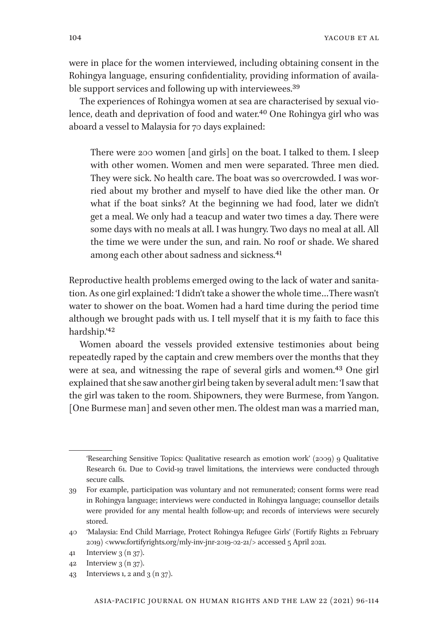were in place for the women interviewed, including obtaining consent in the Rohingya language, ensuring confidentiality, providing information of available support services and following up with interviewees.<sup>39</sup>

The experiences of Rohingya women at sea are characterised by sexual violence, death and deprivation of food and water.<sup>40</sup> One Rohingya girl who was aboard a vessel to Malaysia for 70 days explained:

There were 200 women [and girls] on the boat. I talked to them. I sleep with other women. Women and men were separated. Three men died. They were sick. No health care. The boat was so overcrowded. I was worried about my brother and myself to have died like the other man. Or what if the boat sinks? At the beginning we had food, later we didn't get a meal. We only had a teacup and water two times a day. There were some days with no meals at all. I was hungry. Two days no meal at all. All the time we were under the sun, and rain. No roof or shade. We shared among each other about sadness and sickness.41

Reproductive health problems emerged owing to the lack of water and sanitation. As one girl explained: 'I didn't take a shower the whole time…There wasn't water to shower on the boat. Women had a hard time during the period time although we brought pads with us. I tell myself that it is my faith to face this hardship.'42

Women aboard the vessels provided extensive testimonies about being repeatedly raped by the captain and crew members over the months that they were at sea, and witnessing the rape of several girls and women.<sup>43</sup> One girl explained that she saw another girl being taken by several adult men: 'I saw that the girl was taken to the room. Shipowners, they were Burmese, from Yangon. [One Burmese man] and seven other men. The oldest man was a married man,

<sup>&#</sup>x27;Researching Sensitive Topics: Qualitative research as emotion work' (2009) 9 Qualitative Research 61. Due to Covid-19 travel limitations, the interviews were conducted through secure calls.

<sup>39</sup> For example, participation was voluntary and not remunerated; consent forms were read in Rohingya language; interviews were conducted in Rohingya language; counsellor details were provided for any mental health follow-up; and records of interviews were securely stored.

<sup>40</sup> 'Malaysia: End Child Marriage, Protect Rohingya Refugee Girls' (Fortify Rights 21 February 2019) <www.fortifyrights.org/mly-inv-jnr-2019-02-21/> accessed 5 April 2021.

<sup>41</sup> Interview 3 (n 37).

<sup>42</sup> Interview 3 (n 37).

<sup>43</sup> Interviews 1, 2 and 3 (n 37).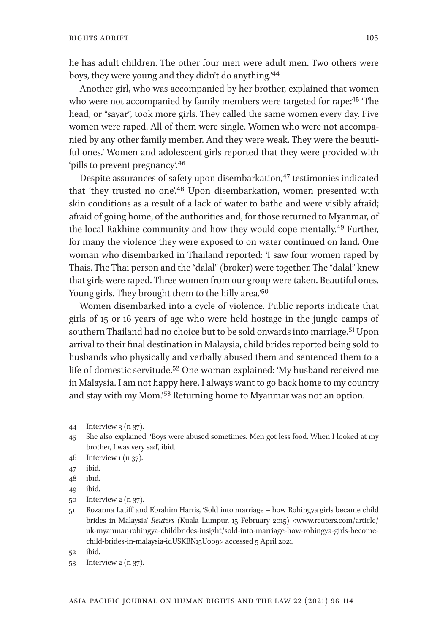he has adult children. The other four men were adult men. Two others were boys, they were young and they didn't do anything.'44

Another girl, who was accompanied by her brother, explained that women who were not accompanied by family members were targeted for rape:<sup>45</sup> 'The head, or "sayar", took more girls. They called the same women every day. Five women were raped. All of them were single. Women who were not accompanied by any other family member. And they were weak. They were the beautiful ones.' Women and adolescent girls reported that they were provided with 'pills to prevent pregnancy'.46

Despite assurances of safety upon disembarkation,<sup>47</sup> testimonies indicated that 'they trusted no one'.<sup>48</sup> Upon disembarkation, women presented with skin conditions as a result of a lack of water to bathe and were visibly afraid; afraid of going home, of the authorities and, for those returned to Myanmar, of the local Rakhine community and how they would cope mentally.49 Further, for many the violence they were exposed to on water continued on land. One woman who disembarked in Thailand reported: 'I saw four women raped by Thais. The Thai person and the "dalal" (broker) were together. The "dalal" knew that girls were raped. Three women from our group were taken. Beautiful ones. Young girls. They brought them to the hilly area.'<sup>50</sup>

Women disembarked into a cycle of violence. Public reports indicate that girls of 15 or 16 years of age who were held hostage in the jungle camps of southern Thailand had no choice but to be sold onwards into marriage.<sup>51</sup> Upon arrival to their final destination in Malaysia, child brides reported being sold to husbands who physically and verbally abused them and sentenced them to a life of domestic servitude.52 One woman explained: 'My husband received me in Malaysia. I am not happy here. I always want to go back home to my country and stay with my Mom.'53 Returning home to Myanmar was not an option.

<sup>44</sup> Interview 3 (n 37).

<sup>45</sup> She also explained, 'Boys were abused sometimes. Men got less food. When I looked at my brother, I was very sad', ibid.

<sup>46</sup> Interview 1 (n 37).

 $47$  ibid.

<sup>48</sup> ibid.

<sup>49</sup> ibid.

<sup>50</sup> Interview 2 (n 37).

<sup>51</sup> Rozanna Latiff and Ebrahim Harris, 'Sold into marriage – how Rohingya girls became child brides in Malaysia' *Reuters* (Kuala Lumpur, 15 February 2015) <www.reuters.com/article/ uk-myanmar-rohingya-childbrides-insight/sold-into-marriage-how-rohingya-girls-becomechild-brides-in-malaysia-idUSKBN15U009> accessed 5 April 2021.

<sup>52</sup> ibid.

<sup>53</sup> Interview 2 (n 37).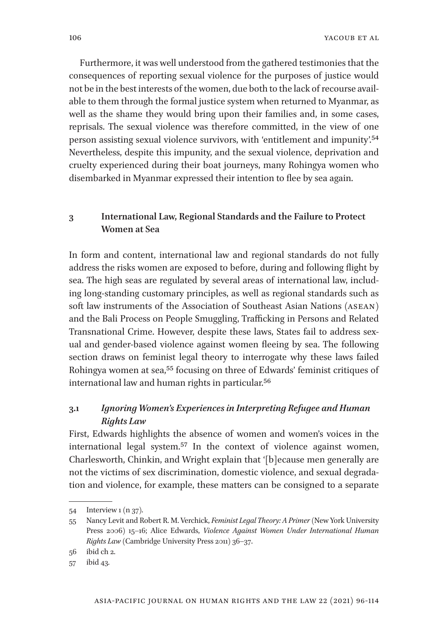Furthermore, it was well understood from the gathered testimonies that the consequences of reporting sexual violence for the purposes of justice would not be in the best interests of the women, due both to the lack of recourse available to them through the formal justice system when returned to Myanmar, as well as the shame they would bring upon their families and, in some cases, reprisals. The sexual violence was therefore committed, in the view of one person assisting sexual violence survivors, with 'entitlement and impunity'.54 Nevertheless, despite this impunity, and the sexual violence, deprivation and cruelty experienced during their boat journeys, many Rohingya women who disembarked in Myanmar expressed their intention to flee by sea again.

#### **3 International Law, Regional Standards and the Failure to Protect Women at Sea**

In form and content, international law and regional standards do not fully address the risks women are exposed to before, during and following flight by sea. The high seas are regulated by several areas of international law, including long-standing customary principles, as well as regional standards such as soft law instruments of the Association of Southeast Asian Nations (ASEAN) and the Bali Process on People Smuggling, Trafficking in Persons and Related Transnational Crime. However, despite these laws, States fail to address sexual and gender-based violence against women fleeing by sea. The following section draws on feminist legal theory to interrogate why these laws failed Rohingya women at sea,55 focusing on three of Edwards' feminist critiques of international law and human rights in particular.<sup>56</sup>

#### **3.1** *Ignoring Women's Experiences in Interpreting Refugee and Human Rights Law*

First, Edwards highlights the absence of women and women's voices in the international legal system.57 In the context of violence against women, Charlesworth, Chinkin, and Wright explain that '[b]ecause men generally are not the victims of sex discrimination, domestic violence, and sexual degradation and violence, for example, these matters can be consigned to a separate

<sup>54</sup> Interview 1 (n 37).

<sup>55</sup> Nancy Levit and Robert R. M. Verchick, *Feminist Legal Theory: A Primer* (New York University Press 2006) 15–16; Alice Edwards, *Violence Against Women Under International Human Rights Law* (Cambridge University Press 2011) 36–37.

<sup>56</sup> ibid ch 2.

<sup>57</sup> ibid 43.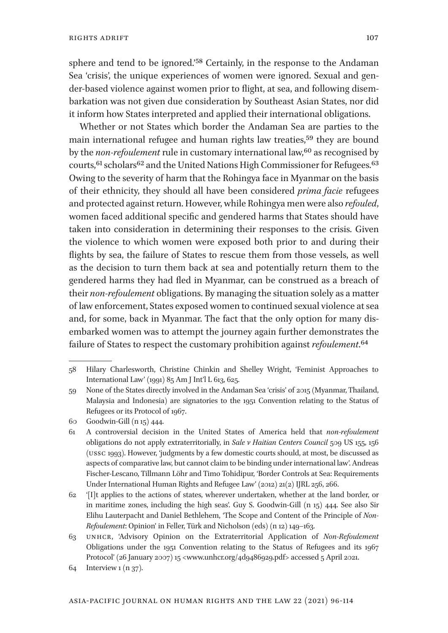sphere and tend to be ignored.<sup>'58</sup> Certainly, in the response to the Andaman Sea 'crisis', the unique experiences of women were ignored. Sexual and gender-based violence against women prior to flight, at sea, and following disembarkation was not given due consideration by Southeast Asian States, nor did it inform how States interpreted and applied their international obligations.

Whether or not States which border the Andaman Sea are parties to the main international refugee and human rights law treaties,59 they are bound by the *non-refoulement* rule in customary international law,60 as recognised by courts,<sup>61</sup> scholars<sup>62</sup> and the United Nations High Commissioner for Refugees.<sup>63</sup> Owing to the severity of harm that the Rohingya face in Myanmar on the basis of their ethnicity, they should all have been considered *prima facie* refugees and protected against return. However, while Rohingya men were also *refouled*, women faced additional specific and gendered harms that States should have taken into consideration in determining their responses to the crisis. Given the violence to which women were exposed both prior to and during their flights by sea, the failure of States to rescue them from those vessels, as well as the decision to turn them back at sea and potentially return them to the gendered harms they had fled in Myanmar, can be construed as a breach of their *non-refoulement* obligations. By managing the situation solely as a matter of law enforcement, States exposed women to continued sexual violence at sea and, for some, back in Myanmar. The fact that the only option for many disembarked women was to attempt the journey again further demonstrates the failure of States to respect the customary prohibition against *refoulement*.64

<sup>58</sup> Hilary Charlesworth, Christine Chinkin and Shelley Wright, 'Feminist Approaches to International Law' (1991) 85 Am J Int'l L 613, 625.

<sup>59</sup> None of the States directly involved in the Andaman Sea 'crisis' of 2015 (Myanmar, Thailand, Malaysia and Indonesia) are signatories to the 1951 Convention relating to the Status of Refugees or its Protocol of 1967.

<sup>60</sup> Goodwin-Gill (n 15) 444.

<sup>61</sup> A controversial decision in the United States of America held that *non-refoulement* obligations do not apply extraterritorially, in *Sale v Haitian Centers Council* 509 US 155, 156 (ussc 1993). However, 'judgments by a few domestic courts should, at most, be discussed as aspects of comparative law, but cannot claim to be binding under international law'. Andreas Fischer-Lescano, Tillmann Löhr and Timo Tohidipur, 'Border Controls at Sea: Requirements Under International Human Rights and Refugee Law' (2012) 21(2) IJRL 256, 266.

<sup>62</sup> '[I]t applies to the actions of states, wherever undertaken, whether at the land border, or in maritime zones, including the high seas'. Guy S. Goodwin-Gill (n 15) 444. See also Sir Elihu Lauterpacht and Daniel Bethlehem, 'The Scope and Content of the Principle of *Non-Refoulement*: Opinion' in Feller, Türk and Nicholson (eds) (n 12) 149–163.

<sup>63</sup> unhcr, 'Advisory Opinion on the Extraterritorial Application of *Non-Refoulement* Obligations under the 1951 Convention relating to the Status of Refugees and its 1967 Protocol' (26 January 2007) 15 <www.unhcr.org/4d9486929.pdf> accessed 5 April 2021.

<sup>64</sup> Interview 1 (n 37).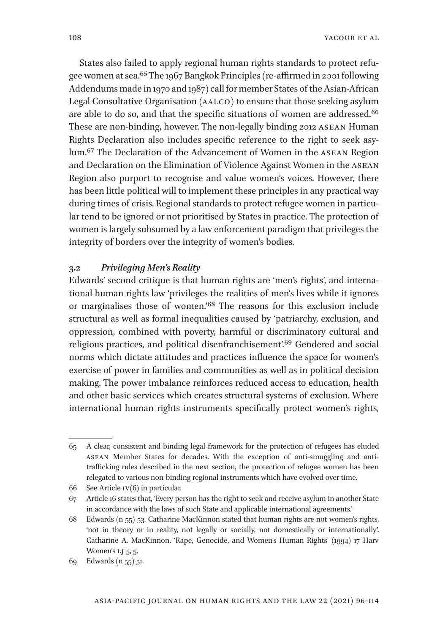States also failed to apply regional human rights standards to protect refugee women at sea.65 The 1967 Bangkok Principles (re-affirmed in 2001 following Addendums made in 1970 and 1987) call for member States of the Asian-African Legal Consultative Organisation (AALCO) to ensure that those seeking asylum are able to do so, and that the specific situations of women are addressed.<sup>66</sup> These are non-binding, however. The non-legally binding 2012 asean Human Rights Declaration also includes specific reference to the right to seek asylum.67 The Declaration of the Advancement of Women in the asean Region and Declaration on the Elimination of Violence Against Women in the asean Region also purport to recognise and value women's voices. However, there has been little political will to implement these principles in any practical way during times of crisis. Regional standards to protect refugee women in particular tend to be ignored or not prioritised by States in practice. The protection of women is largely subsumed by a law enforcement paradigm that privileges the integrity of borders over the integrity of women's bodies.

#### **3.2** *Privileging Men's Reality*

Edwards' second critique is that human rights are 'men's rights', and international human rights law 'privileges the realities of men's lives while it ignores or marginalises those of women.'68 The reasons for this exclusion include structural as well as formal inequalities caused by 'patriarchy, exclusion, and oppression, combined with poverty, harmful or discriminatory cultural and religious practices, and political disenfranchisement'.69 Gendered and social norms which dictate attitudes and practices influence the space for women's exercise of power in families and communities as well as in political decision making. The power imbalance reinforces reduced access to education, health and other basic services which creates structural systems of exclusion. Where international human rights instruments specifically protect women's rights,

<sup>65</sup> A clear, consistent and binding legal framework for the protection of refugees has eluded asean Member States for decades. With the exception of anti-smuggling and antitrafficking rules described in the next section, the protection of refugee women has been relegated to various non-binding regional instruments which have evolved over time.

<sup>66</sup> See Article iv(6) in particular.

<sup>67</sup> Article 16 states that, 'Every person has the right to seek and receive asylum in another State in accordance with the laws of such State and applicable international agreements.'

<sup>68</sup> Edwards (n 55) 53. Catharine MacKinnon stated that human rights are not women's rights, 'not in theory or in reality, not legally or socially, not domestically or internationally'. Catharine A. MacKinnon, 'Rape, Genocide, and Women's Human Rights' (1994) 17 Harv Women's LJ 5, 5.

<sup>69</sup> Edwards (n 55) 51.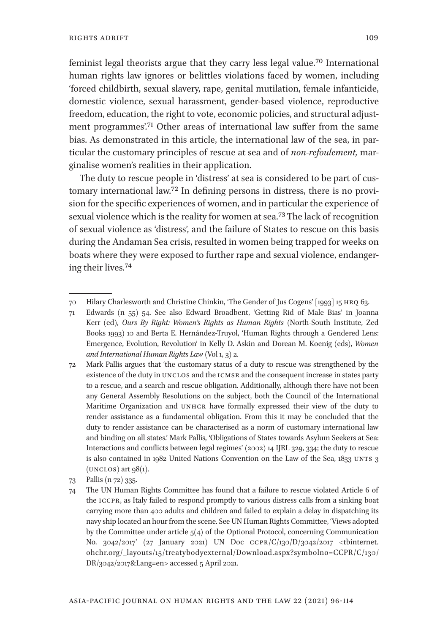feminist legal theorists argue that they carry less legal value.70 International human rights law ignores or belittles violations faced by women, including 'forced childbirth, sexual slavery, rape, genital mutilation, female infanticide, domestic violence, sexual harassment, gender-based violence, reproductive freedom, education, the right to vote, economic policies, and structural adjustment programmes'.<sup>71</sup> Other areas of international law suffer from the same bias. As demonstrated in this article, the international law of the sea, in particular the customary principles of rescue at sea and of *non-refoulement,* marginalise women's realities in their application.

The duty to rescue people in 'distress' at sea is considered to be part of customary international law.72 In defining persons in distress, there is no provision for the specific experiences of women, and in particular the experience of sexual violence which is the reality for women at sea.73 The lack of recognition of sexual violence as 'distress', and the failure of States to rescue on this basis during the Andaman Sea crisis, resulted in women being trapped for weeks on boats where they were exposed to further rape and sexual violence, endangering their lives.74

<sup>70</sup> Hilary Charlesworth and Christine Chinkin, 'The Gender of Jus Cogens' [1993] 15 hrq 63.

<sup>71</sup> Edwards (n 55) 54. See also Edward Broadbent, 'Getting Rid of Male Bias' in Joanna Kerr (ed), *Ours By Right: Women's Rights as Human Rights* (North-South Institute, Zed Books 1993) 10 and Berta E. Hernández-Truyol, 'Human Rights through a Gendered Lens: Emergence, Evolution, Revolution' in Kelly D. Askin and Dorean M. Koenig (eds), *Women and International Human Rights Law* (Vol 1, 3) 2.

<sup>72</sup> Mark Pallis argues that 'the customary status of a duty to rescue was strengthened by the existence of the duty in UNCLOS and the ICMSR and the consequent increase in states party to a rescue, and a search and rescue obligation. Additionally, although there have not been any General Assembly Resolutions on the subject, both the Council of the International Maritime Organization and UNHCR have formally expressed their view of the duty to render assistance as a fundamental obligation. From this it may be concluded that the duty to render assistance can be characterised as a norm of customary international law and binding on all states.' Mark Pallis, 'Obligations of States towards Asylum Seekers at Sea: Interactions and conflicts between legal regimes' (2002) 14 IJRL 329, 334; the duty to rescue is also contained in 1982 United Nations Convention on the Law of the Sea, 1833 unts 3  $(UNCLOS)$  art  $98(1)$ .

<sup>73</sup> Pallis (n 72) 335.

<sup>74</sup> The UN Human Rights Committee has found that a failure to rescue violated Article 6 of the iccpr, as Italy failed to respond promptly to various distress calls from a sinking boat carrying more than 400 adults and children and failed to explain a delay in dispatching its navy ship located an hour from the scene. See UN Human Rights Committee, 'Views adopted by the Committee under article  $5(4)$  of the Optional Protocol, concerning Communication No.  $3042/2017'$  (27 January 2021) UN Doc CCPR/C/130/D/3042/2017 <tbinternet. ohchr.org/\_layouts/15/treatybodyexternal/Download.aspx?symbolno=CCPR/C/130/ DR/3042/2017&Lang=en> accessed 5 April 2021.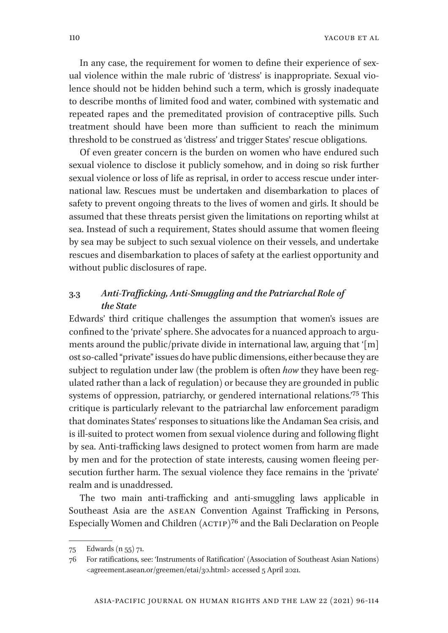In any case, the requirement for women to define their experience of sexual violence within the male rubric of 'distress' is inappropriate. Sexual violence should not be hidden behind such a term, which is grossly inadequate to describe months of limited food and water, combined with systematic and repeated rapes and the premeditated provision of contraceptive pills. Such treatment should have been more than sufficient to reach the minimum threshold to be construed as 'distress' and trigger States' rescue obligations.

Of even greater concern is the burden on women who have endured such sexual violence to disclose it publicly somehow, and in doing so risk further sexual violence or loss of life as reprisal, in order to access rescue under international law. Rescues must be undertaken and disembarkation to places of safety to prevent ongoing threats to the lives of women and girls. It should be assumed that these threats persist given the limitations on reporting whilst at sea. Instead of such a requirement, States should assume that women fleeing by sea may be subject to such sexual violence on their vessels, and undertake rescues and disembarkation to places of safety at the earliest opportunity and without public disclosures of rape.

#### **3.3** *Anti-Trafficking, Anti-Smuggling and the Patriarchal Role of the State*

Edwards' third critique challenges the assumption that women's issues are confined to the 'private' sphere. She advocates for a nuanced approach to arguments around the public/private divide in international law, arguing that '[m] ost so-called "private" issues do have public dimensions, either because they are subject to regulation under law (the problem is often *how* they have been regulated rather than a lack of regulation) or because they are grounded in public systems of oppression, patriarchy, or gendered international relations.'75 This critique is particularly relevant to the patriarchal law enforcement paradigm that dominates States' responses to situations like the Andaman Sea crisis, and is ill-suited to protect women from sexual violence during and following flight by sea. Anti-trafficking laws designed to protect women from harm are made by men and for the protection of state interests, causing women fleeing persecution further harm. The sexual violence they face remains in the 'private' realm and is unaddressed.

The two main anti-trafficking and anti-smuggling laws applicable in Southeast Asia are the asean Convention Against Trafficking in Persons, Especially Women and Children (ACTIP)<sup>76</sup> and the Bali Declaration on People

<sup>75</sup> Edwards (n 55) 71.

<sup>76</sup> For ratifications, see: 'Instruments of Ratification' (Association of Southeast Asian Nations) <agreement.asean.or/greemen/etai/30.html> accessed 5 April 2021.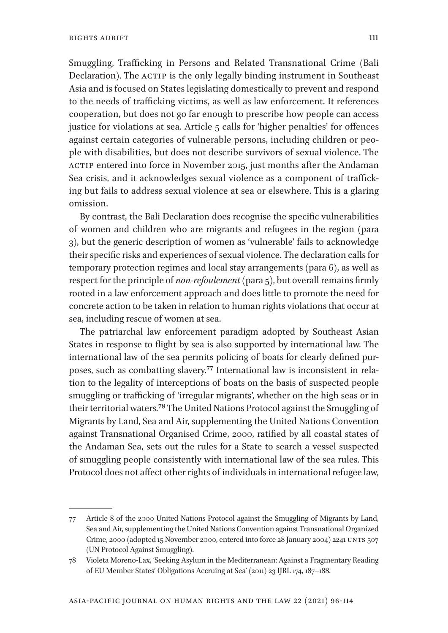Smuggling, Trafficking in Persons and Related Transnational Crime (Bali Declaration). The ACTIP is the only legally binding instrument in Southeast Asia and is focused on States legislating domestically to prevent and respond to the needs of trafficking victims, as well as law enforcement. It references cooperation, but does not go far enough to prescribe how people can access justice for violations at sea. Article 5 calls for 'higher penalties' for offences against certain categories of vulnerable persons, including children or people with disabilities, but does not describe survivors of sexual violence. The ACTIP entered into force in November 2015, just months after the Andaman Sea crisis, and it acknowledges sexual violence as a component of trafficking but fails to address sexual violence at sea or elsewhere. This is a glaring omission.

By contrast, the Bali Declaration does recognise the specific vulnerabilities of women and children who are migrants and refugees in the region (para 3), but the generic description of women as 'vulnerable' fails to acknowledge their specific risks and experiences of sexual violence. The declaration calls for temporary protection regimes and local stay arrangements (para 6), as well as respect for the principle of *non-refoulement* (para 5), but overall remains firmly rooted in a law enforcement approach and does little to promote the need for concrete action to be taken in relation to human rights violations that occur at sea, including rescue of women at sea.

The patriarchal law enforcement paradigm adopted by Southeast Asian States in response to flight by sea is also supported by international law. The international law of the sea permits policing of boats for clearly defined purposes, such as combatting slavery.77 International law is inconsistent in relation to the legality of interceptions of boats on the basis of suspected people smuggling or trafficking of 'irregular migrants', whether on the high seas or in their territorial waters.78 The United Nations Protocol against the Smuggling of Migrants by Land, Sea and Air, supplementing the United Nations Convention against Transnational Organised Crime, 2000, ratified by all coastal states of the Andaman Sea, sets out the rules for a State to search a vessel suspected of smuggling people consistently with international law of the sea rules. This Protocol does not affect other rights of individuals in international refugee law,

<sup>77</sup> Article 8 of the 2000 United Nations Protocol against the Smuggling of Migrants by Land, Sea and Air, supplementing the United Nations Convention against Transnational Organized Crime, 2000 (adopted 15 November 2000, entered into force 28 January 2004) 2241 unts 507 (UN Protocol Against Smuggling).

<sup>78</sup> Violeta Moreno-Lax, 'Seeking Asylum in the Mediterranean: Against a Fragmentary Reading of EU Member States' Obligations Accruing at Sea' (2011) 23 IJRL 174, 187–188.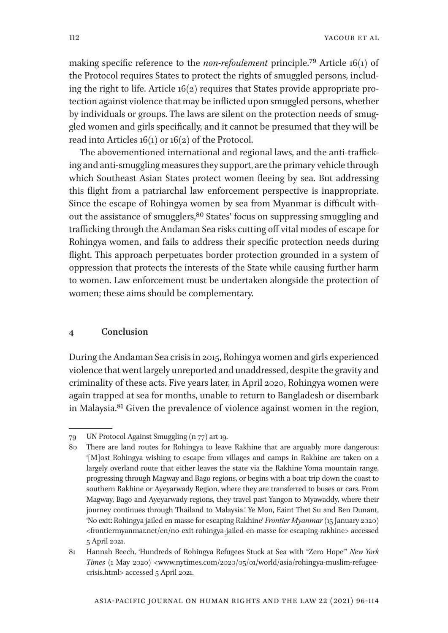making specific reference to the *non-refoulement* principle.79 Article 16(1) of the Protocol requires States to protect the rights of smuggled persons, including the right to life. Article 16(2) requires that States provide appropriate protection against violence that may be inflicted upon smuggled persons, whether by individuals or groups. The laws are silent on the protection needs of smuggled women and girls specifically, and it cannot be presumed that they will be read into Articles 16(1) or 16(2) of the Protocol.

The abovementioned international and regional laws, and the anti-trafficking and anti-smuggling measures they support, are the primary vehicle through which Southeast Asian States protect women fleeing by sea. But addressing this flight from a patriarchal law enforcement perspective is inappropriate. Since the escape of Rohingya women by sea from Myanmar is difficult without the assistance of smugglers,<sup>80</sup> States' focus on suppressing smuggling and trafficking through the Andaman Sea risks cutting off vital modes of escape for Rohingya women, and fails to address their specific protection needs during flight. This approach perpetuates border protection grounded in a system of oppression that protects the interests of the State while causing further harm to women. Law enforcement must be undertaken alongside the protection of women; these aims should be complementary.

#### **4 Conclusion**

During the Andaman Sea crisis in 2015, Rohingya women and girls experienced violence that went largely unreported and unaddressed, despite the gravity and criminality of these acts. Five years later, in April 2020, Rohingya women were again trapped at sea for months, unable to return to Bangladesh or disembark in Malaysia.81 Given the prevalence of violence against women in the region,

<sup>79</sup> UN Protocol Against Smuggling (n 77) art 19.

<sup>80</sup> There are land routes for Rohingya to leave Rakhine that are arguably more dangerous: '[M]ost Rohingya wishing to escape from villages and camps in Rakhine are taken on a largely overland route that either leaves the state via the Rakhine Yoma mountain range, progressing through Magway and Bago regions, or begins with a boat trip down the coast to southern Rakhine or Ayeyarwady Region, where they are transferred to buses or cars. From Magway, Bago and Ayeyarwady regions, they travel past Yangon to Myawaddy, where their journey continues through Thailand to Malaysia.' Ye Mon, Eaint Thet Su and Ben Dunant, 'No exit: Rohingya jailed en masse for escaping Rakhine' *Frontier Myanmar* (15 January 2020) <frontiermyanmar.net/en/no-exit-rohingya-jailed-en-masse-for-escaping-rakhine> accessed 5 April 2021.

<sup>81</sup> Hannah Beech, 'Hundreds of Rohingya Refugees Stuck at Sea with "Zero Hope"' *New York Times* (1 May 2020) <www.nytimes.com/2020/05/01/world/asia/rohingya-muslim-refugeecrisis.html> accessed 5 April 2021.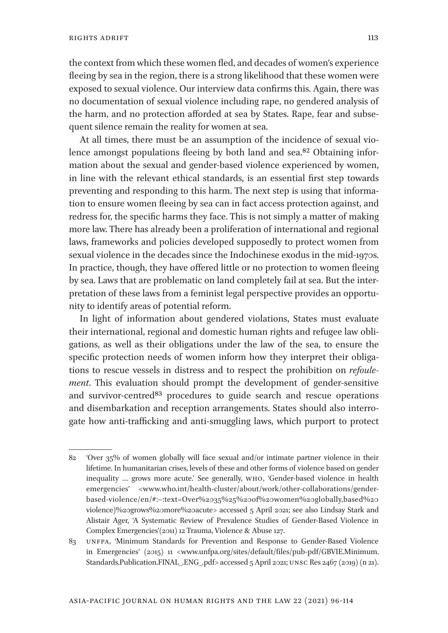the context from which these women fled, and decades of women's experience fleeing by sea in the region, there is a strong likelihood that these women were exposed to sexual violence. Our interview data confirms this. Again, there was no documentation of sexual violence including rape, no gendered analysis of the harm, and no protection afforded at sea by States. Rape, fear and subsequent silence remain the reality for women at sea.

At all times, there must be an assumption of the incidence of sexual violence amongst populations fleeing by both land and sea.<sup>82</sup> Obtaining information about the sexual and gender-based violence experienced by women, in line with the relevant ethical standards, is an essential first step towards preventing and responding to this harm. The next step is using that information to ensure women fleeing by sea can in fact access protection against, and redress for, the specific harms they face. This is not simply a matter of making more law. There has already been a proliferation of international and regional laws, frameworks and policies developed supposedly to protect women from sexual violence in the decades since the Indochinese exodus in the mid-1970s. In practice, though, they have offered little or no protection to women fleeing by sea. Laws that are problematic on land completely fail at sea. But the interpretation of these laws from a feminist legal perspective provides an opportunity to identify areas of potential reform.

In light of information about gendered violations, States must evaluate their international, regional and domestic human rights and refugee law obligations, as well as their obligations under the law of the sea, to ensure the specific protection needs of women inform how they interpret their obligations to rescue vessels in distress and to respect the prohibition on *refoulement*. This evaluation should prompt the development of gender-sensitive and survivor-centred<sup>83</sup> procedures to guide search and rescue operations and disembarkation and reception arrangements. States should also interrogate how anti-trafficking and anti-smuggling laws, which purport to protect

<sup>82</sup> 'Over 35% of women globally will face sexual and/or intimate partner violence in their lifetime. In humanitarian crises, levels of these and other forms of violence based on gender inequality … grows more acute.' See generally, who, 'Gender-based violence in health emergencies' <www.who.int/health-cluster/about/work/other-collaborations/genderbased-violence/en/#:~:text=Over%2035%25%20of%20women%20globally,based%20 violence)%20grows%20more%20acute> accessed 5 April 2021; see also Lindsay Stark and Alistair Ager, 'A Systematic Review of Prevalence Studies of Gender-Based Violence in Complex Emergencies'(2011) 12 Trauma, Violence & Abuse 127.

<sup>83</sup> unfpa, 'Minimum Standards for Prevention and Response to Gender-Based Violence in Emergencies' (2015) 11 <www.unfpa.org/sites/default/files/pub-pdf/GBVIE.Minimum. Standards.Publication.FINAL\_.ENG\_.pdf> accessed 5 April 2021; UNSC Res 2467 (2019) (n 21).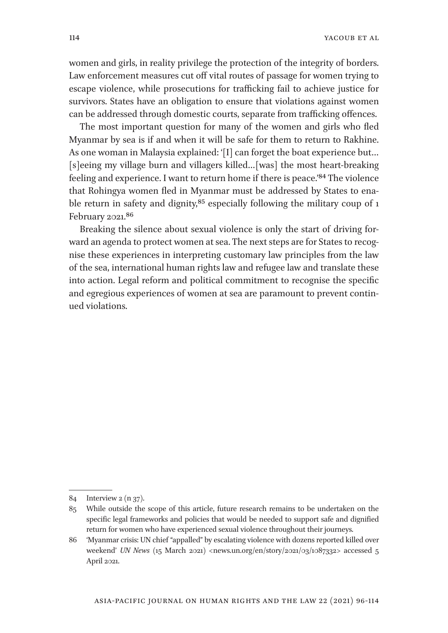women and girls, in reality privilege the protection of the integrity of borders. Law enforcement measures cut off vital routes of passage for women trying to escape violence, while prosecutions for trafficking fail to achieve justice for survivors. States have an obligation to ensure that violations against women can be addressed through domestic courts, separate from trafficking offences.

The most important question for many of the women and girls who fled Myanmar by sea is if and when it will be safe for them to return to Rakhine. As one woman in Malaysia explained: '[I] can forget the boat experience but… [s]eeing my village burn and villagers killed…[was] the most heart-breaking feeling and experience. I want to return home if there is peace.'84 The violence that Rohingya women fled in Myanmar must be addressed by States to enable return in safety and dignity,<sup>85</sup> especially following the military coup of 1 February 2021.86

Breaking the silence about sexual violence is only the start of driving forward an agenda to protect women at sea. The next steps are for States to recognise these experiences in interpreting customary law principles from the law of the sea, international human rights law and refugee law and translate these into action. Legal reform and political commitment to recognise the specific and egregious experiences of women at sea are paramount to prevent continued violations.

<sup>84</sup> Interview 2 (n 37).

<sup>85</sup> While outside the scope of this article, future research remains to be undertaken on the specific legal frameworks and policies that would be needed to support safe and dignified return for women who have experienced sexual violence throughout their journeys.

<sup>86</sup> 'Myanmar crisis: UN chief "appalled" by escalating violence with dozens reported killed over weekend' *UN News* (15 March 2021) <news.un.org/en/story/2021/03/1087332> accessed 5 April 2021.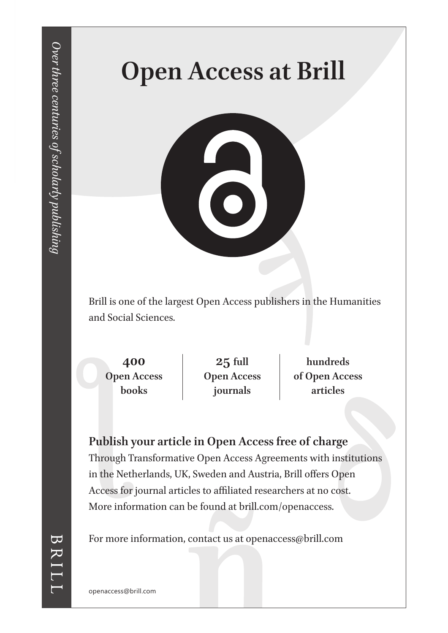# **Open Access at Brill**



Brill is one of the largest Open Access publishers in the Humanities and Social Sciences.

**400 Open Access books**

**25 full Open Access journals**

**hundreds of Open Access articles**

#### **Publish your article in Open Access free of charge**

Through Transformative Open Access Agreements with institutions in the Netherlands, UK, Sweden and Austria, Brill offers Open Access for journal articles to affiliated researchers at no cost. More information can be found at brill.com/openaccess.

 $\overline{\mathbf{C}}$  $\overline{\mathbf{r}}$ 

For more information, contact us at openaccess@brill.com

openaccess@brill.com